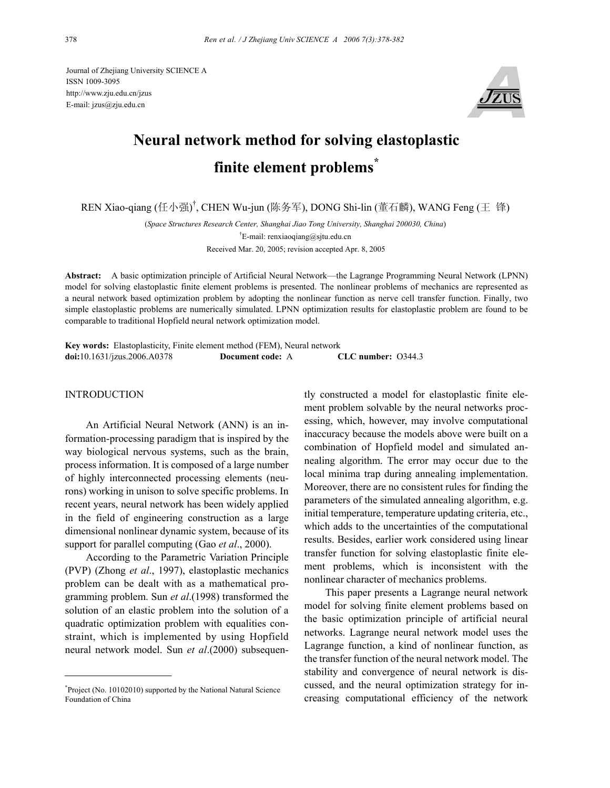Journal of Zhejiang University SCIENCE A ISSN 1009-3095 http://www.zju.edu.cn/jzus E-mail: jzus@zju.edu.cn



# **Neural network method for solving elastoplastic finite element problems\***

REN Xiao-qiang (任小强) † , CHEN Wu-jun (陈务军), DONG Shi-lin (董石麟), WANG Feng (王 锋)

(*Space Structures Research Center, Shanghai Jiao Tong University, Shanghai 200030, China*) † E-mail: renxiaoqiang@sjtu.edu.cn Received Mar. 20, 2005; revision accepted Apr. 8, 2005

**Abstract:** A basic optimization principle of Artificial Neural Network—the Lagrange Programming Neural Network (LPNN) model for solving elastoplastic finite element problems is presented. The nonlinear problems of mechanics are represented as a neural network based optimization problem by adopting the nonlinear function as nerve cell transfer function. Finally, two simple elastoplastic problems are numerically simulated. LPNN optimization results for elastoplastic problem are found to be comparable to traditional Hopfield neural network optimization model.

**Key words:** Elastoplasticity, Finite element method (FEM), Neural network **doi:**10.1631/jzus.2006.A0378 **Document code:** A **CLC number:** O344.3

## **INTRODUCTION**

An Artificial Neural Network (ANN) is an information-processing paradigm that is inspired by the way biological nervous systems, such as the brain, process information. It is composed of a large number of highly interconnected processing elements (neurons) working in unison to solve specific problems. In recent years, neural network has been widely applied in the field of engineering construction as a large dimensional nonlinear dynamic system, because of its support for parallel computing (Gao *et al*., 2000).

According to the Parametric Variation Principle (PVP) (Zhong *et al*., 1997), elastoplastic mechanics problem can be dealt with as a mathematical programming problem. Sun *et al*.(1998) transformed the solution of an elastic problem into the solution of a quadratic optimization problem with equalities constraint, which is implemented by using Hopfield neural network model. Sun *et al*.(2000) subsequently constructed a model for elastoplastic finite element problem solvable by the neural networks processing, which, however, may involve computational inaccuracy because the models above were built on a combination of Hopfield model and simulated annealing algorithm. The error may occur due to the local minima trap during annealing implementation. Moreover, there are no consistent rules for finding the parameters of the simulated annealing algorithm, e.g. initial temperature, temperature updating criteria, etc., which adds to the uncertainties of the computational results. Besides, earlier work considered using linear transfer function for solving elastoplastic finite element problems, which is inconsistent with the nonlinear character of mechanics problems.

This paper presents a Lagrange neural network model for solving finite element problems based on the basic optimization principle of artificial neural networks. Lagrange neural network model uses the Lagrange function, a kind of nonlinear function, as the transfer function of the neural network model. The stability and convergence of neural network is discussed, and the neural optimization strategy for increasing computational efficiency of the network

<sup>\*</sup> Project (No. 10102010) supported by the National Natural Science Foundation of China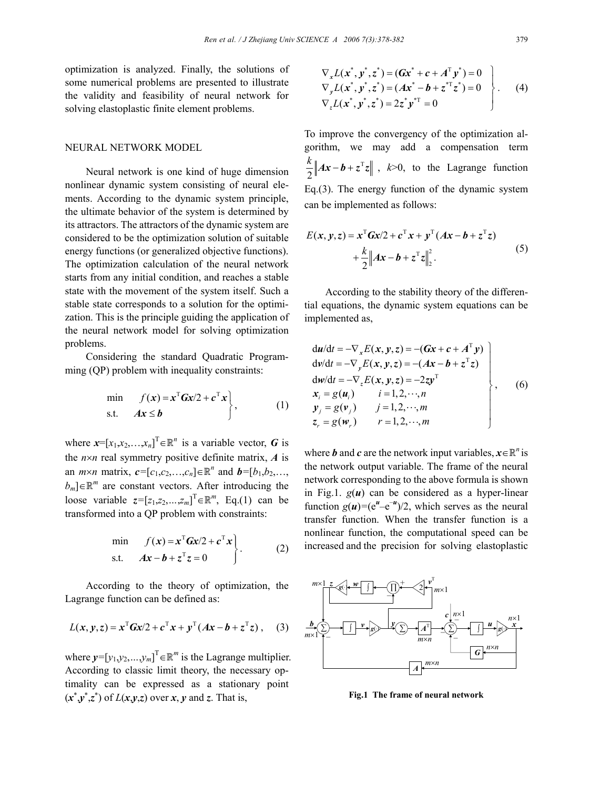optimization is analyzed. Finally, the solutions of some numerical problems are presented to illustrate the validity and feasibility of neural network for solving elastoplastic finite element problems.

### NEURAL NETWORK MODEL

Neural network is one kind of huge dimension nonlinear dynamic system consisting of neural elements. According to the dynamic system principle, the ultimate behavior of the system is determined by its attractors. The attractors of the dynamic system are considered to be the optimization solution of suitable energy functions (or generalized objective functions). The optimization calculation of the neural network starts from any initial condition, and reaches a stable state with the movement of the system itself. Such a stable state corresponds to a solution for the optimization. This is the principle guiding the application of the neural network model for solving optimization problems.

Considering the standard Quadratic Programming (QP) problem with inequality constraints:

$$
\min_{\mathbf{S}.\mathbf{t}} \quad f(\mathbf{x}) = \mathbf{x}^{\mathrm{T}} \mathbf{G} \mathbf{x} / 2 + \mathbf{c}^{\mathrm{T}} \mathbf{x} \},\tag{1}
$$

where  $\mathbf{x} = [x_1, x_2, \dots, x_n]^T \in \mathbb{R}^n$  is a variable vector, *G* is the  $n \times n$  real symmetry positive definite matrix,  $\vec{A}$  is an *m*×*n* matrix,  $c = [c_1, c_2, ..., c_n] \in \mathbb{R}^n$  and  $b = [b_1, b_2, ..., b_n]$  $b_m$ ]∈ $\mathbb{R}^m$  are constant vectors. After introducing the loose variable  $z = [z_1, z_2, ..., z_m]^T \in \mathbb{R}^m$ , Eq.(1) can be transformed into a QP problem with constraints:

$$
\begin{aligned}\n\min \quad & f(x) = x^{\mathrm{T}} G x / 2 + c^{\mathrm{T}} x \\
\text{s.t.} \quad & Ax - b + z^{\mathrm{T}} z = 0\n\end{aligned}\n\bigg\}.
$$
\n<sup>(2)</sup>

According to the theory of optimization, the Lagrange function can be defined as:

$$
L(x, y, z) = x^{T} G x / 2 + c^{T} x + y^{T} (Ax - b + z^{T} z),
$$
 (3)

where  $y = [y_1, y_2, ..., y_m]^T \in \mathbb{R}^m$  is the Lagrange multiplier. According to classic limit theory, the necessary optimality can be expressed as a stationary point  $(x^*y^*z^*)$  of  $L(x,y,z)$  over *x*, *y* and *z*. That is,

$$
\nabla_x L(x^*, y^*, z^*) = (Gx^* + c + A^T y^*) = 0
$$
\n
$$
\nabla_y L(x^*, y^*, z^*) = (Ax^* - b + z^{*T} z^*) = 0
$$
\n
$$
\nabla_z L(x^*, y^*, z^*) = 2z^* y^{*T} = 0
$$
\n(4)

To improve the convergency of the optimization algorithm, we may add a compensation term T 2  $\frac{k}{2}$  *Ax - b* +  $z^Tz$  , *k*>0, to the Lagrange function Eq.(3). The energy function of the dynamic system can be implemented as follows:

$$
E(x, y, z) = xT Gx/2 + cT x + yT (Ax - b + zT z)
$$
  
+ 
$$
\frac{k}{2} ||Ax - b + zT z||22.
$$
 (5)

According to the stability theory of the differential equations, the dynamic system equations can be implemented as,

$$
\begin{aligned}\n\mathbf{d}u/\mathbf{d}t &= -\nabla_x E(\mathbf{x}, \mathbf{y}, z) = -(\mathbf{G}\mathbf{x} + \mathbf{c} + \mathbf{A}^\top \mathbf{y}) \\
\mathbf{d}v/\mathbf{d}t &= -\nabla_y E(\mathbf{x}, \mathbf{y}, z) = -(\mathbf{A}\mathbf{x} - \mathbf{b} + z^\top z) \\
\mathbf{d}w/\mathbf{d}t &= -\nabla_z E(\mathbf{x}, \mathbf{y}, z) = -2zy^\top \\
\mathbf{x}_i &= g(\mathbf{u}_i) \qquad i = 1, 2, \cdots, n \\
\mathbf{y}_j &= g(\mathbf{v}_j) \qquad j = 1, 2, \cdots, m \\
\mathbf{z}_r &= g(\mathbf{w}_r) \qquad r = 1, 2, \cdots, m\n\end{aligned}
$$
\n(6)

where *b* and *c* are the network input variables,  $x \in \mathbb{R}^n$  is the network output variable. The frame of the neural network corresponding to the above formula is shown in Fig.1.  $g(u)$  can be considered as a hyper-linear function  $g(u) = (e^u - e^{-u})/2$ , which serves as the neural transfer function. When the transfer function is a nonlinear function, the computational speed can be increased and the precision for solving elastoplastic



**Fig.1 The frame of neural network**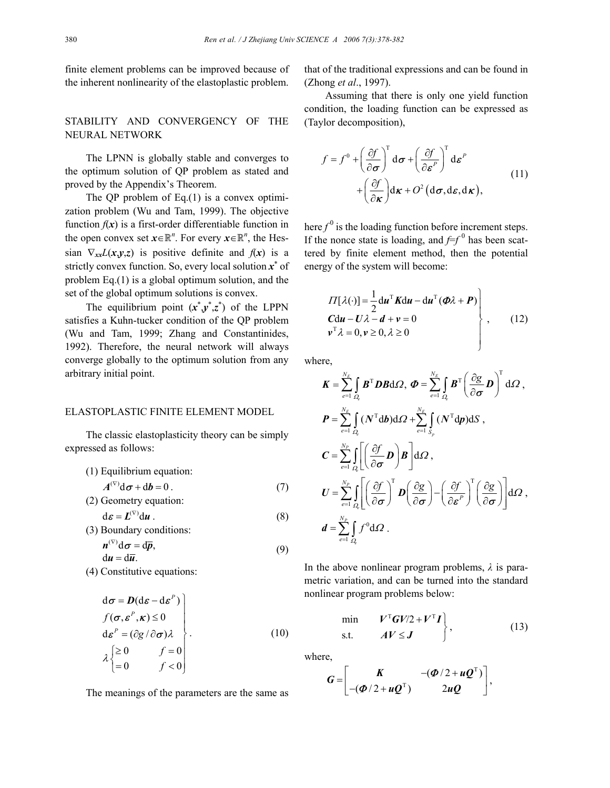finite element problems can be improved because of the inherent nonlinearity of the elastoplastic problem.

# STABILITY AND CONVERGENCY OF THE NEURAL NETWORK

The LPNN is globally stable and converges to the optimum solution of QP problem as stated and proved by the Appendix's Theorem.

The QP problem of Eq.(1) is a convex optimization problem (Wu and Tam, 1999). The objective function  $f(x)$  is a first-order differentiable function in the open convex set  $x \in \mathbb{R}^n$ . For every  $x \in \mathbb{R}^n$ , the Hessian  $\nabla_{xx}L(x,y,z)$  is positive definite and  $f(x)$  is a strictly convex function. So, every local solution *x*<sup>∗</sup> of problem Eq.(1) is a global optimum solution, and the set of the global optimum solutions is convex.

The equilibrium point  $(x^*y^*z^*)$  of the LPPN satisfies a Kuhn-tucker condition of the QP problem (Wu and Tam, 1999; Zhang and Constantinides, 1992). Therefore, the neural network will always converge globally to the optimum solution from any arbitrary initial point.

## ELASTOPLASTIC FINITE ELEMENT MODEL

The classic elastoplasticity theory can be simply expressed as follows:

- (1) Equilibrium equation:  $A^{(\nabla)}d\sigma + db = 0$ . (7)
- (2) Geometry equation:

$$
d\boldsymbol{\varepsilon} = \boldsymbol{L}^{(\nabla)} d\boldsymbol{u} \ . \tag{8}
$$

(3) Boundary conditions:  $n^{(\nabla)} d\sigma = d\overline{p},$  $\sigma = \mathrm{d}p,$  (9)

$$
du = d\overline{u}.
$$
  
(4) Constitutive equations:

$$
\begin{array}{c}\n\vdots \\
\vdots \\
\vdots \\
\vdots\n\end{array}
$$

$$
\begin{aligned}\n\mathbf{d}\boldsymbol{\sigma} &= \boldsymbol{D}(\mathbf{d}\boldsymbol{\varepsilon} - \mathbf{d}\boldsymbol{\varepsilon}^{P}) \\
f(\boldsymbol{\sigma}, \boldsymbol{\varepsilon}^{P}, \boldsymbol{\kappa}) \le 0 \\
\mathbf{d}\boldsymbol{\varepsilon}^{P} &= (\partial g / \partial \boldsymbol{\sigma})\lambda \\
\lambda \begin{cases}\n\ge 0 & f = 0 \\
= 0 & f < 0\n\end{cases}\n\end{aligned} \tag{10}
$$

The meanings of the parameters are the same as

that of the traditional expressions and can be found in (Zhong *et al*., 1997).

Assuming that there is only one yield function condition, the loading function can be expressed as (Taylor decomposition),

$$
f = f^{0} + \left(\frac{\partial f}{\partial \sigma}\right)^{T} d\sigma + \left(\frac{\partial f}{\partial \varepsilon^{P}}\right)^{T} d\varepsilon^{P}
$$
  
+ 
$$
\left(\frac{\partial f}{\partial \kappa}\right) d\kappa + O^{2} (d\sigma, d\varepsilon, d\kappa),
$$
 (11)

here  $f^0$  is the loading function before increment steps. If the nonce state is loading, and  $f=f^0$  has been scattered by finite element method, then the potential energy of the system will become:

$$
\left.\begin{array}{l}\n\Pi[\lambda(\cdot)] = \frac{1}{2} \mathrm{d} \boldsymbol{u}^{\mathrm{T}} \boldsymbol{K} \mathrm{d} \boldsymbol{u} - \mathrm{d} \boldsymbol{u}^{\mathrm{T}} (\boldsymbol{\Phi} \lambda + \boldsymbol{P}) \\
\boldsymbol{C} \mathrm{d} \boldsymbol{u} - \boldsymbol{U} \lambda - \boldsymbol{d} + \boldsymbol{v} = 0 \\
\boldsymbol{v}^{\mathrm{T}} \lambda = 0, \boldsymbol{v} \ge 0, \lambda \ge 0\n\end{array}\right\},\qquad(12)
$$

where,

$$
K = \sum_{e=1}^{N_E} \int_{Q_e} B^T DB \, d\Omega, \ \Phi = \sum_{e=1}^{N_E} \int_{Q_e} B^T \left( \frac{\partial g}{\partial \sigma} D \right)^T d\Omega,
$$
  
\n
$$
P = \sum_{e=1}^{N_E} \int_{Q_e} (N^T d b) d\Omega + \sum_{e=1}^{N_E} \int_{S_p} (N^T d p) dS,
$$
  
\n
$$
C = \sum_{e=1}^{N_P} \int_{Q_e} \left[ \left( \frac{\partial f}{\partial \sigma} D \right) B \right] d\Omega,
$$
  
\n
$$
U = \sum_{e=1}^{N_P} \int_{Q_e} \left[ \left( \frac{\partial f}{\partial \sigma} \right)^T D \left( \frac{\partial g}{\partial \sigma} \right) - \left( \frac{\partial f}{\partial \epsilon^P} \right)^T \left( \frac{\partial g}{\partial \sigma} \right) \right] d\Omega,
$$
  
\n
$$
d = \sum_{e=1}^{N_P} \int_{Q_e} f^0 d\Omega.
$$

In the above nonlinear program problems, *λ* is parametric variation, and can be turned into the standard nonlinear program problems below:

$$
\begin{array}{ll}\n\min & V^{\mathrm{T}}\boldsymbol{G}V/2 + V^{\mathrm{T}}\boldsymbol{I} \\
\text{s.t.} & A V \leq \boldsymbol{J}\n\end{array}\n\bigg\},\tag{13}
$$

where,

$$
G = \begin{bmatrix} K & -(\Phi/2 + uQ^{T}) \\ -(\Phi/2 + uQ^{T}) & 2uQ \end{bmatrix},
$$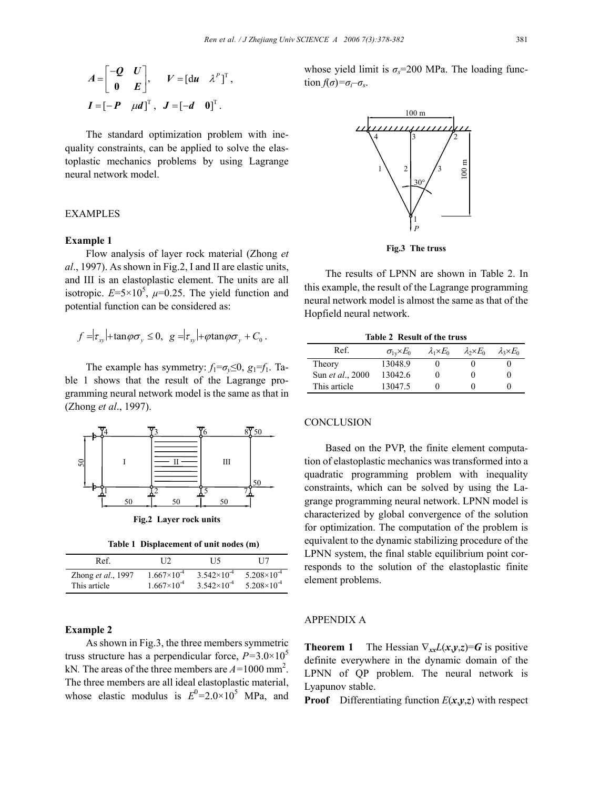$$
A = \begin{bmatrix} -Q & U \\ 0 & E \end{bmatrix}, \qquad V = \begin{bmatrix} du & \lambda^P \end{bmatrix}^T,
$$

$$
I = \begin{bmatrix} -P & \mu d \end{bmatrix}^T, \qquad J = \begin{bmatrix} -d & 0 \end{bmatrix}^T.
$$

The standard optimization problem with inequality constraints, can be applied to solve the elastoplastic mechanics problems by using Lagrange neural network model.

# **EXAMPLES**

### **Example 1**

Flow analysis of layer rock material (Zhong *et al*., 1997). As shown in Fig.2, I and II are elastic units, and III is an elastoplastic element. The units are all isotropic.  $E=5\times10^5$ ,  $\mu=0.25$ . The yield function and potential function can be considered as:

$$
f = |\tau_{xy}| + \tan \varphi \sigma_y \leq 0, \quad g = |\tau_{xy}| + \varphi \tan \varphi \sigma_y + C_0.
$$

The example has symmetry:  $f_1 = \sigma_y \leq 0$ ,  $g_1 = f_1$ . Table 1 shows that the result of the Lagrange programming neural network model is the same as that in (Zhong *et al*., 1997).



**Fig.2 Layer rock units** 

**Table 1 Displacement of unit nodes (m)**

| Ref                | 112                  | T 15.                | H7                     |
|--------------------|----------------------|----------------------|------------------------|
| Zhong et al., 1997 | $1.667\times10^{-4}$ | $3.542\times10^{-4}$ | $5.208\times10^{-4}$   |
| This article       | $1.667\times10^{-4}$ | $3.542\times10^{-4}$ | $5.208 \times 10^{-4}$ |

#### **Example 2**

As shown in Fig.3, the three members symmetric truss structure has a perpendicular force,  $P=3.0\times10^5$ kN*.* The areas of the three members are *A=*1000 mm2 . The three members are all ideal elastoplastic material, whose elastic modulus is  $E^0 = 2.0 \times 10^5$  MPa, and whose yield limit is  $\sigma_s$ =200 MPa. The loading function  $f(\sigma) = \sigma_i - \sigma_s$ .



**Fig.3 The truss**

The results of LPNN are shown in Table 2. In this example, the result of the Lagrange programming neural network model is almost the same as that of the Hopfield neural network.

|  | Table 2 Result of the truss |  |
|--|-----------------------------|--|
|--|-----------------------------|--|

| Ref.                     | $\sigma_{1}E_{0}$ | $\lambda_1 \times E_0$ | $\lambda_2 \times E_0$ | $\lambda_3 \times E_0$ |
|--------------------------|-------------------|------------------------|------------------------|------------------------|
| Theory                   | 13048.9           |                        |                        |                        |
| Sun <i>et al.</i> , 2000 | 13042.6           |                        |                        |                        |
| This article             | 13047.5           |                        |                        |                        |

## **CONCLUSION**

Based on the PVP, the finite element computation of elastoplastic mechanics was transformed into a quadratic programming problem with inequality constraints, which can be solved by using the Lagrange programming neural network. LPNN model is characterized by global convergence of the solution for optimization. The computation of the problem is equivalent to the dynamic stabilizing procedure of the LPNN system, the final stable equilibrium point corresponds to the solution of the elastoplastic finite element problems.

#### APPENDIX A

**Theorem 1** The Hessian  $\nabla_{xx}L(x,y,z)=G$  is positive definite everywhere in the dynamic domain of the LPNN of QP problem. The neural network is Lyapunov stable.

**Proof** Differentiating function  $E(x, y, z)$  with respect